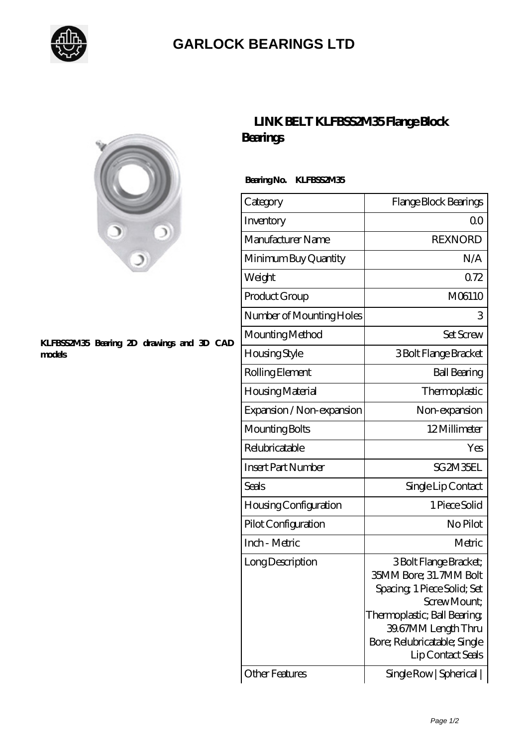

## **[GARLOCK BEARINGS LTD](https://m.letterstopriests.com)**



#### **[KLFBSS2M35 Bearing 2D drawings and 3D CAD](https://m.letterstopriests.com/pic-188825.html) [models](https://m.letterstopriests.com/pic-188825.html)**

## **[LINK BELT KLFBSS2M35 Flange Block](https://m.letterstopriests.com/bb-188825-link-belt-klfbss2m35-flange-block-bearings.html) [Bearings](https://m.letterstopriests.com/bb-188825-link-belt-klfbss2m35-flange-block-bearings.html)**

### **Bearing No. KLFBSS2M35**

| Category                     | Flange Block Bearings                                                                                                                                                                                       |
|------------------------------|-------------------------------------------------------------------------------------------------------------------------------------------------------------------------------------------------------------|
| Inventory                    | 0 <sup>0</sup>                                                                                                                                                                                              |
| Manufacturer Name            | <b>REXNORD</b>                                                                                                                                                                                              |
| Minimum Buy Quantity         | N/A                                                                                                                                                                                                         |
| Weight                       | 072                                                                                                                                                                                                         |
| Product Group                | M06110                                                                                                                                                                                                      |
| Number of Mounting Holes     | 3                                                                                                                                                                                                           |
| Mounting Method              | <b>Set Screw</b>                                                                                                                                                                                            |
| <b>Housing Style</b>         | 3 Bolt Flange Bracket                                                                                                                                                                                       |
| Rolling Element              | <b>Ball Bearing</b>                                                                                                                                                                                         |
| Housing Material             | Thermoplastic                                                                                                                                                                                               |
| Expansion / Non-expansion    | Non-expansion                                                                                                                                                                                               |
| Mounting Bolts               | 12Millimeter                                                                                                                                                                                                |
| Relubricatable               | Yes                                                                                                                                                                                                         |
| <b>Insert Part Number</b>    | SG2M35EL                                                                                                                                                                                                    |
| Seals                        | Single Lip Contact                                                                                                                                                                                          |
| <b>Housing Configuration</b> | 1 Piece Solid                                                                                                                                                                                               |
| Pilot Configuration          | No Pilot                                                                                                                                                                                                    |
| Inch - Metric                | Metric                                                                                                                                                                                                      |
| Long Description             | 3 Bolt Flange Bracket;<br>35MM Bore; 31.7MM Bolt<br>Spacing, 1 Piece Solid; Set<br>Screw Mount:<br>Thermoplastic; Ball Bearing;<br>39.67MM Length Thru<br>Bore; Relubricatable; Single<br>Lip Contact Seals |
| <b>Other Features</b>        | Single Row   Spherical                                                                                                                                                                                      |